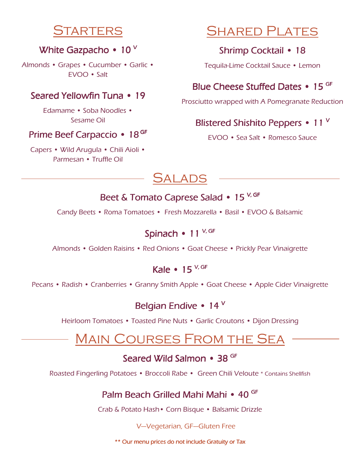# TARTERS

## White Gazpacho • 10 V

Almonds • Grapes • Cucumber • Garlic • EVOO • Salt

## Seared Yellowfin Tuna • 19

Edamame • Soba Noodles • Sesame Oil

## Prime Beef Carpaccio • 18<sup>GF</sup>

Capers • Wild Arugula • Chili Aioli • Parmesan • Truffle Oil

# Shared Plates

# Shrimp Cocktail • 18

Tequila-Lime Cocktail Sauce • Lemon

# Blue Cheese Stuffed Dates • 15 <sup>GF</sup>

Prosciutto wrapped with A Pomegranate Reduction

# Blistered Shishito Peppers • 11 V

EVOO • Sea Salt • Romesco Sauce



## Beet & Tomato Caprese Salad • 15<sup>V, GF</sup>

Candy Beets • Roma Tomatoes • Fresh Mozzarella • Basil • EVOO & Balsamic

# Spinach • 11 V, GF

Almonds • Golden Raisins • Red Onions • Goat Cheese • Prickly Pear Vinaigrette

# Kale • 15 $<sup>V, GF</sup>$ </sup>

Pecans • Radish • Cranberries • Granny Smith Apple • Goat Cheese • Apple Cider Vinaigrette

# Belgian Endive • 14  $^{\circ}$

Heirloom Tomatoes • Toasted Pine Nuts • Garlic Croutons • Dijon Dressing

# Main Courses From the Sea

## Seared Wild Salmon • 38 GF

Roasted Fingerling Potatoes • Broccoli Rabe • Green Chili Veloute \* Contains Shellfish

# Palm Beach Grilled Mahi Mahi • 40 <sup>GF</sup>

Crab & Potato Hash• Corn Bisque • Balsamic Drizzle

#### V—Vegetarian, GF—Gluten Free

\*\* Our menu prices do not include Gratuity or Tax